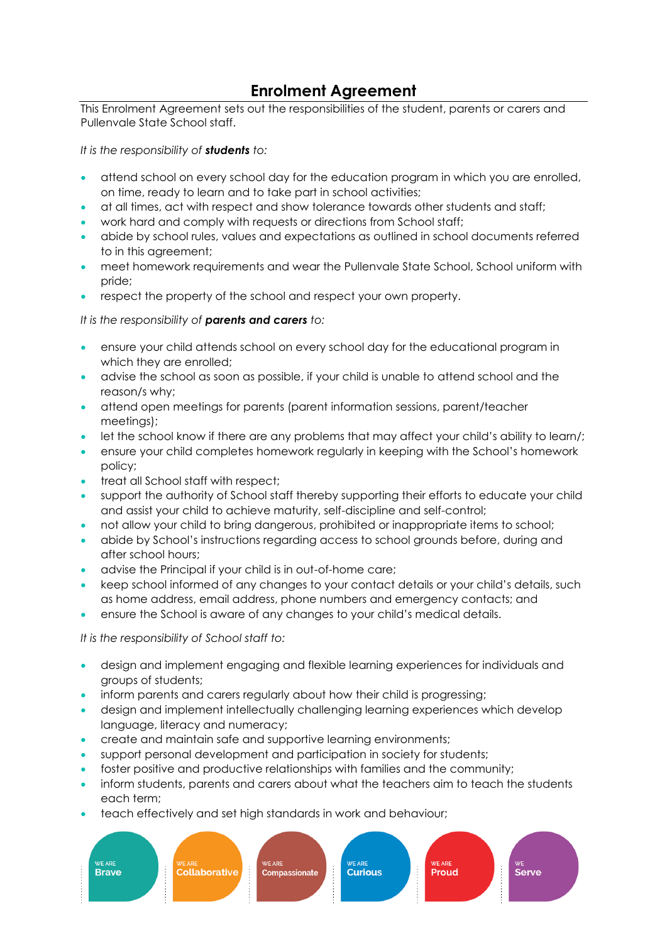# **Enrolment Agreement**

This Enrolment Agreement sets out the responsibilities of the student, parents or carers and Pullenvale State School staff.

*It is the responsibility of students to:*

- attend school on every school day for the education program in which you are enrolled, on time, ready to learn and to take part in school activities;
- at all times, act with respect and show tolerance towards other students and staff;
- work hard and comply with requests or directions from School staff;
- abide by school rules, values and expectations as outlined in school documents referred to in this agreement;
- meet homework requirements and wear the Pullenvale State School, School uniform with pride;
- respect the property of the school and respect your own property.

### *It is the responsibility of parents and carers to:*

- ensure your child attends school on every school day for the educational program in which they are enrolled;
- advise the school as soon as possible, if your child is unable to attend school and the reason/s why;
- attend open meetings for parents (parent information sessions, parent/teacher meetings);
- let the school know if there are any problems that may affect your child's ability to learn/;
- ensure your child completes homework regularly in keeping with the School's homework policy;
- treat all School staff with respect;
- support the authority of School staff thereby supporting their efforts to educate your child and assist your child to achieve maturity, self-discipline and self-control;
- not allow your child to bring dangerous, prohibited or inappropriate items to school;
- abide by School's instructions regarding access to school grounds before, during and after school hours;
- advise the Principal if your child is in out-of-home care;
- keep school informed of any changes to your contact details or your child's details, such as home address, email address, phone numbers and emergency contacts; and
- ensure the School is aware of any changes to your child's medical details.

*It is the responsibility of School staff to:*

- design and implement engaging and flexible learning experiences for individuals and groups of students;
- inform parents and carers regularly about how their child is progressing;
- design and implement intellectually challenging learning experiences which develop language, literacy and numeracy;
- create and maintain safe and supportive learning environments;
- support personal development and participation in society for students;
- foster positive and productive relationships with families and the community;
- inform students, parents and carers about what the teachers aim to teach the students each term;
- teach effectively and set high standards in work and behaviour;

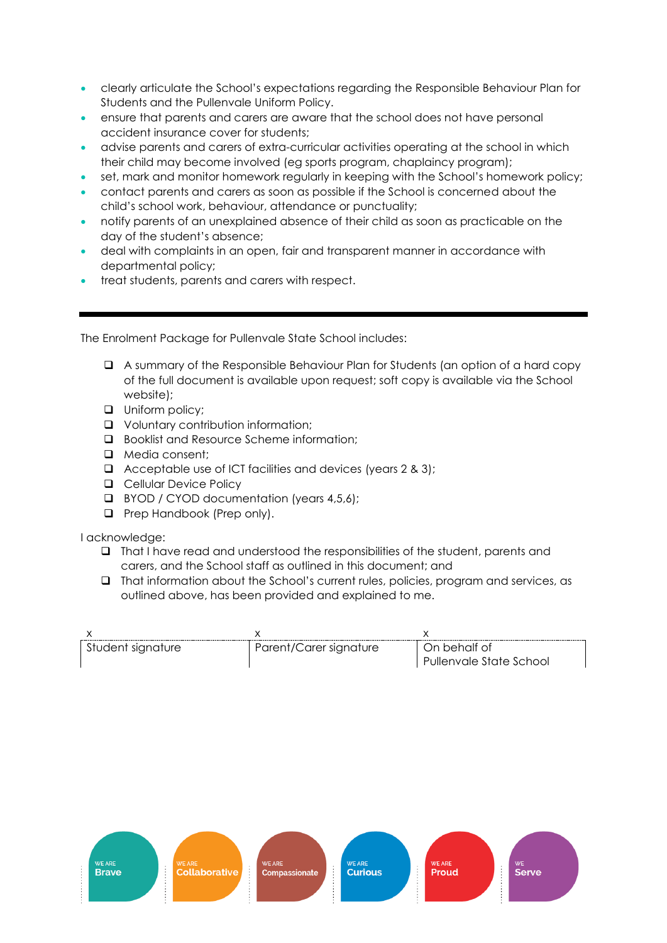- clearly articulate the School's expectations regarding the Responsible Behaviour Plan for Students and the Pullenvale Uniform Policy.
- ensure that parents and carers are aware that the school does not have personal accident insurance cover for students;
- advise parents and carers of extra-curricular activities operating at the school in which their child may become involved (eg sports program, chaplaincy program);
- set, mark and monitor homework regularly in keeping with the School's homework policy;
- contact parents and carers as soon as possible if the School is concerned about the child's school work, behaviour, attendance or punctuality;
- notify parents of an unexplained absence of their child as soon as practicable on the day of the student's absence;
- deal with complaints in an open, fair and transparent manner in accordance with departmental policy;
- treat students, parents and carers with respect.

The Enrolment Package for Pullenvale State School includes:

- ❑ A summary of the Responsible Behaviour Plan for Students (an option of a hard copy of the full document is available upon request; soft copy is available via the School website);
- ❑ Uniform policy;
- ❑ Voluntary contribution information;
- ❑ Booklist and Resource Scheme information;
- ❑ Media consent;
- ❑ Acceptable use of ICT facilities and devices (years 2 & 3);
- ❑ Cellular Device Policy
- ❑ BYOD / CYOD documentation (years 4,5,6);
- ❑ Prep Handbook (Prep only).

### I acknowledge:

- ❑ That I have read and understood the responsibilities of the student, parents and carers, and the School staff as outlined in this document; and
- ❑ That information about the School's current rules, policies, program and services, as outlined above, has been provided and explained to me.

| Student signature | Parent/Carer signature | - On behalf of<br>Pullenvale State School |
|-------------------|------------------------|-------------------------------------------|

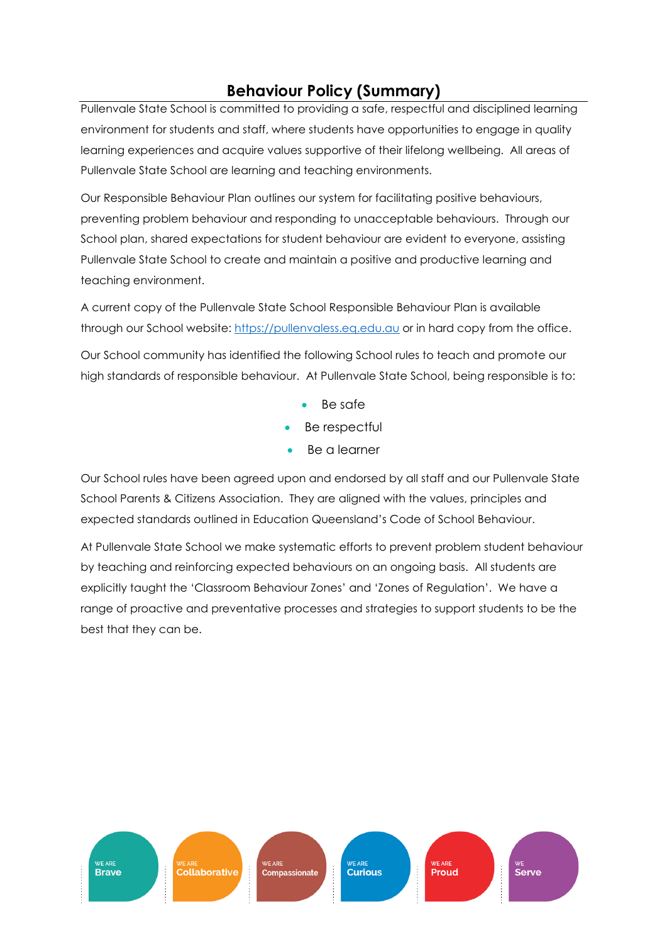# **Behaviour Policy (Summary)**

Pullenvale State School is committed to providing a safe, respectful and disciplined learning environment for students and staff, where students have opportunities to engage in quality learning experiences and acquire values supportive of their lifelong wellbeing. All areas of Pullenvale State School are learning and teaching environments.

Our Responsible Behaviour Plan outlines our system for facilitating positive behaviours, preventing problem behaviour and responding to unacceptable behaviours. Through our School plan, shared expectations for student behaviour are evident to everyone, assisting Pullenvale State School to create and maintain a positive and productive learning and teaching environment.

A current copy of the Pullenvale State School Responsible Behaviour Plan is available through our School website: [https://pullenvaless.eq.edu.au](https://pullenvaless.eq.edu.au/) or in hard copy from the office.

Our School community has identified the following School rules to teach and promote our high standards of responsible behaviour. At Pullenvale State School, being responsible is to:

- Be safe
- Be respectful
- Be a learner

Our School rules have been agreed upon and endorsed by all staff and our Pullenvale State School Parents & Citizens Association. They are aligned with the values, principles and expected standards outlined in Education Queensland's Code of School Behaviour.

At Pullenvale State School we make systematic efforts to prevent problem student behaviour by teaching and reinforcing expected behaviours on an ongoing basis. All students are explicitly taught the 'Classroom Behaviour Zones' and 'Zones of Regulation'. We have a range of proactive and preventative processes and strategies to support students to be the best that they can be.

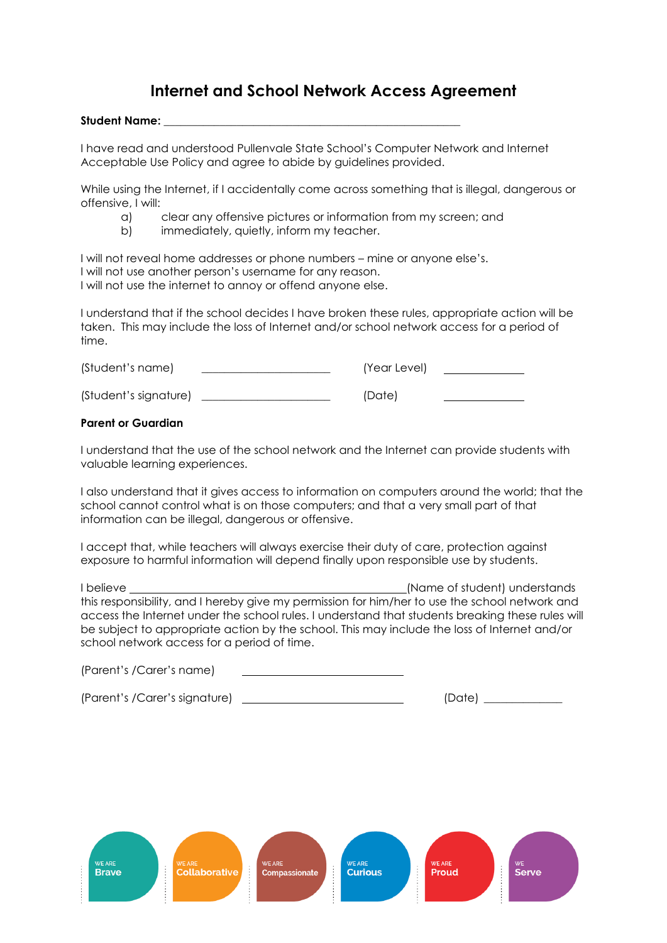# **Internet and School Network Access Agreement**

#### **Student Name: \_\_\_\_\_\_\_\_\_\_\_\_\_\_\_\_\_\_\_\_\_\_\_\_\_\_\_\_\_\_\_\_\_\_\_\_\_\_\_\_\_\_\_\_\_\_\_\_\_\_\_\_\_**

I have read and understood Pullenvale State School's Computer Network and Internet Acceptable Use Policy and agree to abide by guidelines provided.

While using the Internet, if I accidentally come across something that is illegal, dangerous or offensive, I will:

- a) clear any offensive pictures or information from my screen; and
- b) immediately, quietly, inform my teacher.

I will not reveal home addresses or phone numbers – mine or anyone else's. I will not use another person's username for any reason. I will not use the internet to annoy or offend anyone else.

I understand that if the school decides I have broken these rules, appropriate action will be taken. This may include the loss of Internet and/or school network access for a period of time.

| (Student's name)      | (Year Level) |  |
|-----------------------|--------------|--|
| (Student's signature) | (Date)       |  |

#### **Parent or Guardian**

I understand that the use of the school network and the Internet can provide students with valuable learning experiences.

I also understand that it gives access to information on computers around the world; that the school cannot control what is on those computers; and that a very small part of that information can be illegal, dangerous or offensive.

I accept that, while teachers will always exercise their duty of care, protection against exposure to harmful information will depend finally upon responsible use by students.

I believe (Name of student) understands this responsibility, and I hereby give my permission for him/her to use the school network and access the Internet under the school rules. I understand that students breaking these rules will be subject to appropriate action by the school. This may include the loss of Internet and/or school network access for a period of time.

(Parent's /Carer's name)

(Parent's /Carer's signature) \_\_\_\_\_\_\_\_\_\_\_\_\_\_\_\_\_\_\_\_\_\_\_\_\_\_\_\_\_\_\_\_\_\_(Date) \_\_\_\_\_\_\_\_\_\_

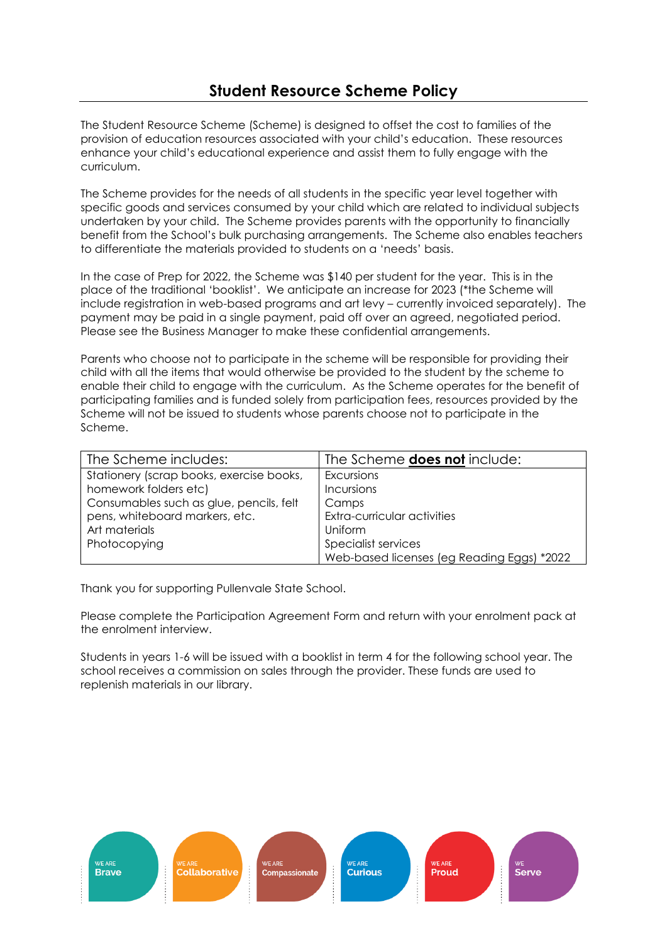The Student Resource Scheme (Scheme) is designed to offset the cost to families of the provision of education resources associated with your child's education. These resources enhance your child's educational experience and assist them to fully engage with the curriculum.

The Scheme provides for the needs of all students in the specific year level together with specific goods and services consumed by your child which are related to individual subjects undertaken by your child. The Scheme provides parents with the opportunity to financially benefit from the School's bulk purchasing arrangements. The Scheme also enables teachers to differentiate the materials provided to students on a 'needs' basis.

In the case of Prep for 2022, the Scheme was \$140 per student for the year. This is in the place of the traditional 'booklist'. We anticipate an increase for 2023 (\*the Scheme will include registration in web-based programs and art levy – currently invoiced separately). The payment may be paid in a single payment, paid off over an agreed, negotiated period. Please see the Business Manager to make these confidential arrangements.

Parents who choose not to participate in the scheme will be responsible for providing their child with all the items that would otherwise be provided to the student by the scheme to enable their child to engage with the curriculum. As the Scheme operates for the benefit of participating families and is funded solely from participation fees, resources provided by the Scheme will not be issued to students whose parents choose not to participate in the Scheme.

| The Scheme includes:                     | The Scheme <b>does not</b> include:        |
|------------------------------------------|--------------------------------------------|
| Stationery (scrap books, exercise books, | Excursions                                 |
| homework folders etc)                    | Incursions                                 |
| Consumables such as glue, pencils, felt  | Camps                                      |
| pens, whiteboard markers, etc.           | Extra-curricular activities                |
| Art materials                            | Uniform                                    |
| Photocopying                             | Specialist services                        |
|                                          | Web-based licenses (eg Reading Eggs) *2022 |

Thank you for supporting Pullenvale State School.

Please complete the Participation Agreement Form and return with your enrolment pack at the enrolment interview.

Students in years 1-6 will be issued with a booklist in term 4 for the following school year. The school receives a commission on sales through the provider. These funds are used to replenish materials in our library.

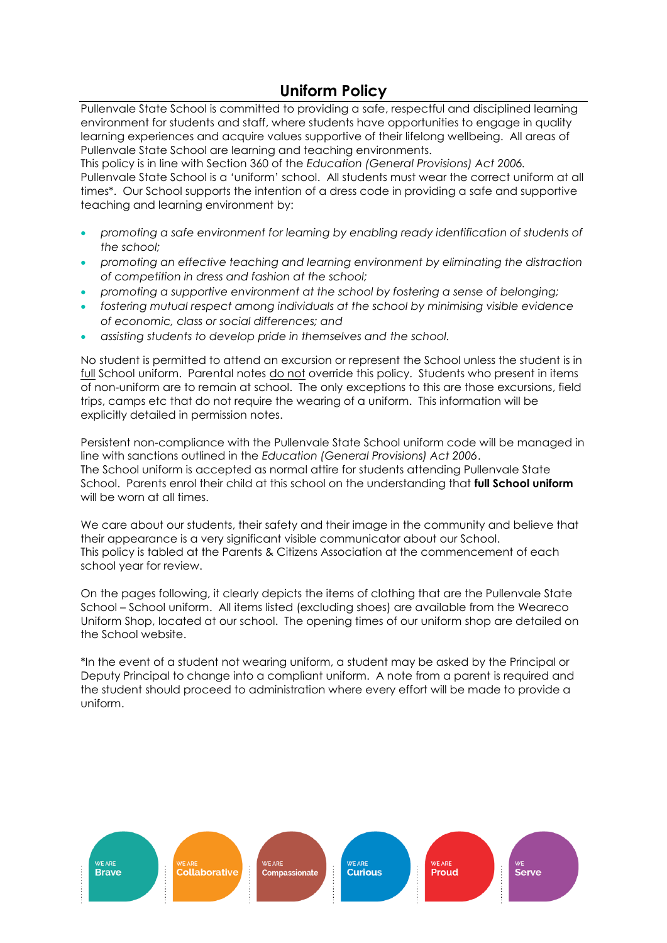# **Uniform Policy**

Pullenvale State School is committed to providing a safe, respectful and disciplined learning environment for students and staff, where students have opportunities to engage in quality learning experiences and acquire values supportive of their lifelong wellbeing. All areas of Pullenvale State School are learning and teaching environments.

This policy is in line with Section 360 of the *Education (General Provisions) Act 2006.* Pullenvale State School is a 'uniform' school. All students must wear the correct uniform at all times\*. Our School supports the intention of a dress code in providing a safe and supportive teaching and learning environment by:

- *promoting a safe environment for learning by enabling ready identification of students of the school;*
- *promoting an effective teaching and learning environment by eliminating the distraction of competition in dress and fashion at the school;*
- *promoting a supportive environment at the school by fostering a sense of belonging;*
- *fostering mutual respect among individuals at the school by minimising visible evidence of economic, class or social differences; and*
- *assisting students to develop pride in themselves and the school.*

No student is permitted to attend an excursion or represent the School unless the student is in full School uniform. Parental notes do not override this policy. Students who present in items of non-uniform are to remain at school. The only exceptions to this are those excursions, field trips, camps etc that do not require the wearing of a uniform. This information will be explicitly detailed in permission notes.

Persistent non-compliance with the Pullenvale State School uniform code will be managed in line with sanctions outlined in the *Education (General Provisions) Act 2006*. The School uniform is accepted as normal attire for students attending Pullenvale State School. Parents enrol their child at this school on the understanding that **full School uniform** will be worn at all times.

We care about our students, their safety and their image in the community and believe that their appearance is a very significant visible communicator about our School. This policy is tabled at the Parents & Citizens Association at the commencement of each school year for review.

On the pages following, it clearly depicts the items of clothing that are the Pullenvale State School – School uniform. All items listed (excluding shoes) are available from the Weareco Uniform Shop, located at our school. The opening times of our uniform shop are detailed on the School website.

\*In the event of a student not wearing uniform, a student may be asked by the Principal or Deputy Principal to change into a compliant uniform. A note from a parent is required and the student should proceed to administration where every effort will be made to provide a uniform.